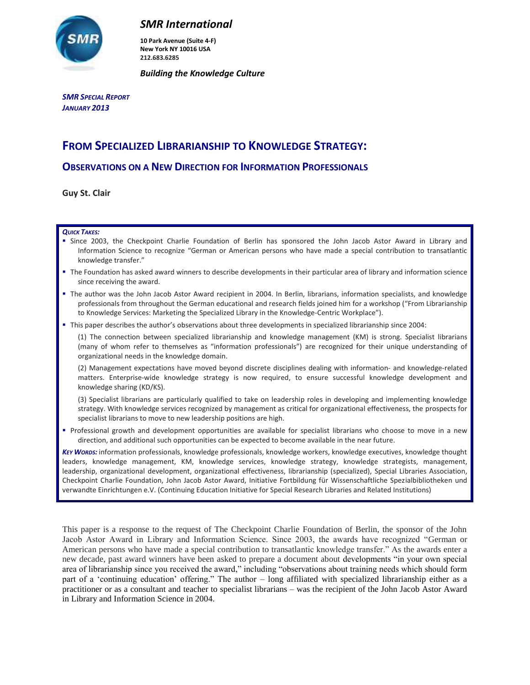

# *SMR International*

**10 Park Avenue (Suite 4-F) New York NY 10016 USA 212.683.6285**

*Building the Knowledge Culture*

*SMR SPECIAL REPORT JANUARY 2013*

# **FROM SPECIALIZED LIBRARIANSHIP TO KNOWLEDGE STRATEGY:**

### **OBSERVATIONS ON A NEW DIRECTION FOR INFORMATION PROFESSIONALS**

**Guy St. Clair**

#### *QUICK TAKES:*

- Since 2003, the Checkpoint Charlie Foundation of Berlin has sponsored the John Jacob Astor Award in Library and Information Science to recognize "German or American persons who have made a special contribution to transatlantic knowledge transfer."
- The Foundation has asked award winners to describe developments in their particular area of library and information science since receiving the award.
- The author was the John Jacob Astor Award recipient in 2004. In Berlin, librarians, information specialists, and knowledge professionals from throughout the German educational and research fields joined him for a workshop ("From Librarianship to Knowledge Services: Marketing the Specialized Library in the Knowledge-Centric Workplace").
- This paper describes the author's observations about three developments in specialized librarianship since 2004:

(1) The connection between specialized librarianship and knowledge management (KM) is strong. Specialist librarians (many of whom refer to themselves as "information professionals") are recognized for their unique understanding of organizational needs in the knowledge domain.

(2) Management expectations have moved beyond discrete disciplines dealing with information- and knowledge-related matters. Enterprise-wide knowledge strategy is now required, to ensure successful knowledge development and knowledge sharing (KD/KS).

(3) Specialist librarians are particularly qualified to take on leadership roles in developing and implementing knowledge strategy. With knowledge services recognized by management as critical for organizational effectiveness, the prospects for specialist librarians to move to new leadership positions are high.

 Professional growth and development opportunities are available for specialist librarians who choose to move in a new direction, and additional such opportunities can be expected to become available in the near future.

*KEY WORDS:* information professionals, knowledge professionals, knowledge workers, knowledge executives, knowledge thought leaders, knowledge management, KM, knowledge services, knowledge strategy, knowledge strategists, management, leadership, organizational development, organizational effectiveness, librarianship (specialized), Special Libraries Association, Checkpoint Charlie Foundation, John Jacob Astor Award, Initiative Fortbildung für Wissenschaftliche Spezialbibliotheken und verwandte Einrichtungen e.V. (Continuing Education Initiative for Special Research Libraries and Related Institutions)

This paper is a response to the request of The Checkpoint Charlie Foundation of Berlin, the sponsor of the John Jacob Astor Award in Library and Information Science. Since 2003, the awards have recognized "German or American persons who have made a special contribution to transatlantic knowledge transfer." As the awards enter a new decade, past award winners have been asked to prepare a document about developments "in your own special area of librarianship since you received the award," including "observations about training needs which should form part of a 'continuing education' offering." The author – long affiliated with specialized librarianship either as a practitioner or as a consultant and teacher to specialist librarians – was the recipient of the John Jacob Astor Award in Library and Information Science in 2004.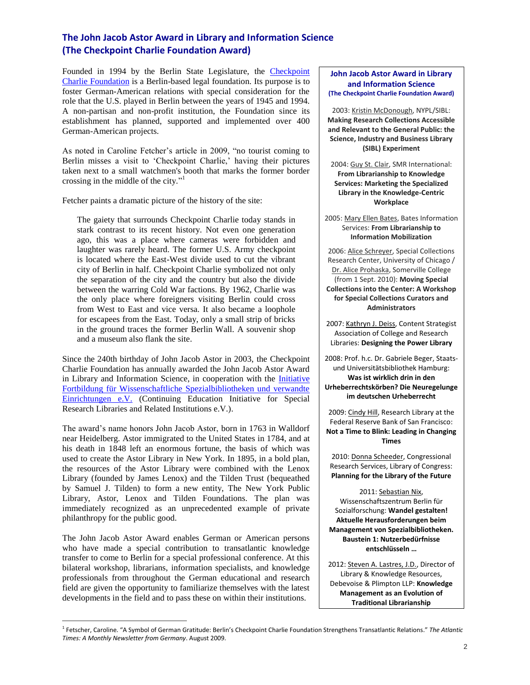## **The John Jacob Astor Award in Library and Information Science (The Checkpoint Charlie Foundation Award)**

Founded in 1994 by the Berlin State Legislature, the [Checkpoint](http://www.cc-stiftung.de/index.php?option=com_content&view=category&layout=blog&id=445&Itemid=446)  [Charlie Foundation](http://www.cc-stiftung.de/index.php?option=com_content&view=category&layout=blog&id=445&Itemid=446) is a Berlin-based legal foundation. Its purpose is to foster German-American relations with special consideration for the role that the U.S. played in Berlin between the years of 1945 and 1994. A non-partisan and non-profit institution, the Foundation since its establishment has planned, supported and implemented over 400 German-American projects.

As noted in Caroline Fetcher's article in 2009, "no tourist coming to Berlin misses a visit to 'Checkpoint Charlie,' having their pictures taken next to a small watchmen's booth that marks the former border crossing in the middle of the city." 1

Fetcher paints a dramatic picture of the history of the site:

The gaiety that surrounds Checkpoint Charlie today stands in stark contrast to its recent history. Not even one generation ago, this was a place where cameras were forbidden and laughter was rarely heard. The former U.S. Army checkpoint is located where the East-West divide used to cut the vibrant city of Berlin in half. Checkpoint Charlie symbolized not only the separation of the city and the country but also the divide between the warring Cold War factions. By 1962, Charlie was the only place where foreigners visiting Berlin could cross from West to East and vice versa. It also became a loophole for escapees from the East. Today, only a small strip of bricks in the ground traces the former Berlin Wall. A souvenir shop and a museum also flank the site.

Since the 240th birthday of John Jacob Astor in 2003, the Checkpoint Charlie Foundation has annually awarded the John Jacob Astor Award in Library and Information Science, in cooperation with the [Initiative](http://www.initiativefortbildung.de/html/home/aktuell.html)  [Fortbildung für Wissenschaftliche Spezialbibliotheken und verwandte](http://www.initiativefortbildung.de/html/home/aktuell.html)  [Einrichtungen](http://www.initiativefortbildung.de/html/home/aktuell.html) e.V. (Continuing Education Initiative for Special Research Libraries and Related Institutions e.V.).

The award's name honors John Jacob Astor, born in 1763 in Walldorf near Heidelberg. Astor immigrated to the United States in 1784, and at his death in 1848 left an enormous fortune, the basis of which was used to create the Astor Library in New York. In 1895, in a bold plan, the resources of the Astor Library were combined with the Lenox Library (founded by James Lenox) and the Tilden Trust (bequeathed by Samuel J. Tilden) to form a new entity, The New York Public Library, Astor, Lenox and Tilden Foundations. The plan was immediately recognized as an unprecedented example of private philanthropy for the public good.

The John Jacob Astor Award enables German or American persons who have made a special contribution to transatlantic knowledge transfer to come to Berlin for a special professional conference. At this bilateral workshop, librarians, information specialists, and knowledge professionals from throughout the German educational and research field are given the opportunity to familiarize themselves with the latest developments in the field and to pass these on within their institutions.

 $\overline{a}$ 

#### **John Jacob Astor Award in Library and Information Science (The Checkpoint Charlie Foundation Award)**

2003: Kristin McDonough, NYPL/SIBL: **Making Research Collections Accessible and Relevant to the General Public: the Science, Industry and Business Library (SIBL) Experiment**

2004: Guy St. Clair, SMR International: **From Librarianship to Knowledge Services: Marketing the Specialized Library in the Knowledge-Centric Workplace**

2005: Mary Ellen Bates, Bates Information Services: **From Librarianship to Information Mobilization**

2006: Alice Schreyer, Special Collections Research Center, University of Chicago / Dr. Alice Prohaska, Somerville College (from 1 Sept. 2010): **Moving Special Collections into the Center: A Workshop for Special Collections Curators and Administrators**

2007: Kathryn J. Deiss, Content Strategist Association of College and Research Libraries: **Designing the Power Library**

2008: Prof. h.c. Dr. Gabriele Beger, Staatsund Universitätsbibliothek Hamburg: **Was ist wirklich drin in den Urheberrechtskörben? Die Neuregelunge im deutschen Urheberrecht**

2009: Cindy Hill, Research Library at the Federal Reserve Bank of San Francisco: **Not a Time to Blink: Leading in Changing Times**

2010: Donna Scheeder, Congressional Research Services, Library of Congress: **Planning for the Library of the Future**

2011: Sebastian Nix, Wissenschaftszentrum Berlin für Sozialforschung: **Wandel gestalten! Aktuelle Herausforderungen beim Management von Spezialbibliotheken. Baustein 1: Nutzerbedürfnisse entschlüsseln …**

2012: Steven A. Lastres, J.D., Director of Library & Knowledge Resources, Debevoise & Plimpton LLP: **Knowledge Management as an Evolution of Traditional Librarianship**

<sup>1</sup> Fetscher, Caroline. "A Symbol of German Gratitude: Berlin's Checkpoint Charlie Foundation Strengthens Transatlantic Relations." *The Atlantic Times: A Monthly Newsletter from Germany*. August 2009.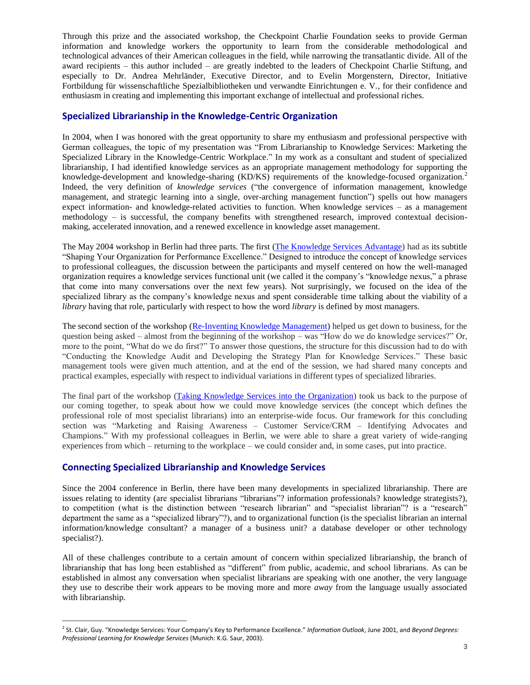Through this prize and the associated workshop, the Checkpoint Charlie Foundation seeks to provide German information and knowledge workers the opportunity to learn from the considerable methodological and technological advances of their American colleagues in the field, while narrowing the transatlantic divide. All of the award recipients – this author included – are greatly indebted to the leaders of Checkpoint Charlie Stiftung, and especially to Dr. Andrea Mehrländer, Executive Director, and to Evelin Morgenstern, Director, Initiative Fortbildung für wissenschaftliche Spezialbibliotheken und verwandte Einrichtungen e. V., for their confidence and enthusiasm in creating and implementing this important exchange of intellectual and professional riches.

### **Specialized Librarianship in the Knowledge-Centric Organization**

In 2004, when I was honored with the great opportunity to share my enthusiasm and professional perspective with German colleagues, the topic of my presentation was "From Librarianship to Knowledge Services: Marketing the Specialized Library in the Knowledge-Centric Workplace." In my work as a consultant and student of specialized librarianship, I had identified knowledge services as an appropriate management methodology for supporting the knowledge-development and knowledge-sharing (KD/KS) requirements of the knowledge-focused organization.<sup>2</sup> Indeed, the very definition of *knowledge services* ("the convergence of information management, knowledge management, and strategic learning into a single, over-arching management function") spells out how managers expect information- and knowledge-related activities to function. When knowledge services – as a management methodology – is successful, the company benefits with strengthened research, improved contextual decisionmaking, accelerated innovation, and a renewed excellence in knowledge asset management.

The May 2004 workshop in Berlin had three parts. The first [\(The Knowledge Services Advantage\)](http://smr-knowledge.com/wp-content/uploads/2012/11/Berlin-2004-1-Advantage.pdf) had as its subtitle "Shaping Your Organization for Performance Excellence." Designed to introduce the concept of knowledge services to professional colleagues, the discussion between the participants and myself centered on how the well-managed organization requires a knowledge services functional unit (we called it the company's "knowledge nexus," a phrase that come into many conversations over the next few years). Not surprisingly, we focused on the idea of the specialized library as the company's knowledge nexus and spent considerable time talking about the viability of a *library* having that role, particularly with respect to how the word *library* is defined by most managers.

The second section of the workshop [\(Re-Inventing Knowledge Management\)](http://smr-knowledge.com/wp-content/uploads/2012/12/Berlin-2004-2-Audit-Strat-Plan-1.0.pdf) helped us get down to business, for the question being asked – almost from the beginning of the workshop – was "How do we do knowledge services?" Or, more to the point, "What do we do first?" To answer those questions, the structure for this discussion had to do with "Conducting the Knowledge Audit and Developing the Strategy Plan for Knowledge Services." These basic management tools were given much attention, and at the end of the session, we had shared many concepts and practical examples, especially with respect to individual variations in different types of specialized libraries.

The final part of the workshop [\(Taking Knowledge Services into the Organization\)](http://smr-knowledge.com/wp-content/uploads/2012/12/Berlin-2004-3-Mkt-CRS-1.0.pdf) took us back to the purpose of our coming together, to speak about how we could move knowledge services (the concept which defines the professional role of most specialist librarians) into an enterprise-wide focus. Our framework for this concluding section was "Marketing and Raising Awareness – Customer Service/CRM – Identifying Advocates and Champions." With my professional colleagues in Berlin, we were able to share a great variety of wide-ranging experiences from which – returning to the workplace – we could consider and, in some cases, put into practice.

### **Connecting Specialized Librarianship and Knowledge Services**

 $\overline{a}$ 

Since the 2004 conference in Berlin, there have been many developments in specialized librarianship. There are issues relating to identity (are specialist librarians "librarians"? information professionals? knowledge strategists?), to competition (what is the distinction between "research librarian" and "specialist librarian"? is a "research" department the same as a "specialized library"?), and to organizational function (is the specialist librarian an internal information/knowledge consultant? a manager of a business unit? a database developer or other technology specialist?).

All of these challenges contribute to a certain amount of concern within specialized librarianship, the branch of librarianship that has long been established as "different" from public, academic, and school librarians. As can be established in almost any conversation when specialist librarians are speaking with one another, the very language they use to describe their work appears to be moving more and more *away* from the language usually associated with librarianship.

<sup>2</sup> St. Clair, Guy. "Knowledge Services: Your Company's Key to Performance Excellence." *Information Outlook*, June 2001, and *Beyond Degrees: Professional Learning for Knowledge Services* (Munich: K.G. Saur, 2003).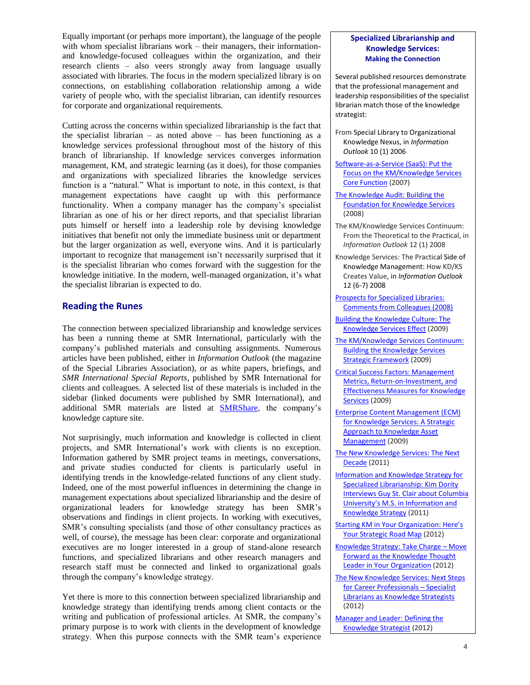Equally important (or perhaps more important), the language of the people with whom specialist librarians work – their managers, their informationand knowledge-focused colleagues within the organization, and their research clients – also veers strongly away from language usually associated with libraries. The focus in the modern specialized library is on connections, on establishing collaboration relationship among a wide variety of people who, with the specialist librarian, can identify resources for corporate and organizational requirements.

Cutting across the concerns within specialized librarianship is the fact that the specialist librarian – as noted above – has been functioning as a knowledge services professional throughout most of the history of this branch of librarianship. If knowledge services converges information management, KM, and strategic learning (as it does), for those companies and organizations with specialized libraries the knowledge services function is a "natural." What is important to note, in this context, is that management expectations have caught up with this performance functionality. When a company manager has the company's specialist librarian as one of his or her direct reports, and that specialist librarian puts himself or herself into a leadership role by devising knowledge initiatives that benefit not only the immediate business unit or department but the larger organization as well, everyone wins. And it is particularly important to recognize that management isn't necessarily surprised that it is the specialist librarian who comes forward with the suggestion for the knowledge initiative. In the modern, well-managed organization, it's what the specialist librarian is expected to do.

#### **Reading the Runes**

The connection between specialized librarianship and knowledge services has been a running theme at SMR International, particularly with the company's published materials and consulting assignments. Numerous articles have been published, either in *Information Outlook* (the magazine of the Special Libraries Association), or as white papers, briefings, and *SMR International Special Reports*, published by SMR International for clients and colleagues. A selected list of these materials is included in the sidebar (linked documents were published by SMR International), and additional SMR materials are listed at [SMRShare,](http://smr-knowledge.com/smrshare/) the company's knowledge capture site.

Not surprisingly, much information and knowledge is collected in client projects, and SMR International's work with clients is no exception. Information gathered by SMR project teams in meetings, conversations, and private studies conducted for clients is particularly useful in identifying trends in the knowledge-related functions of any client study. Indeed, one of the most powerful influences in determining the change in management expectations about specialized librarianship and the desire of organizational leaders for knowledge strategy has been SMR's observations and findings in client projects. In working with executives, SMR's consulting specialists (and those of other consultancy practices as well, of course), the message has been clear: corporate and organizational executives are no longer interested in a group of stand-alone research functions, and specialized librarians and other research managers and research staff must be connected and linked to organizational goals through the company's knowledge strategy.

Yet there is more to this connection between specialized librarianship and knowledge strategy than identifying trends among client contacts or the writing and publication of professional articles. At SMR, the company's primary purpose is to work with clients in the development of knowledge strategy. When this purpose connects with the SMR team's experience

#### **Specialized Librarianship and Knowledge Services: Making the Connection**

Several published resources demonstrate that the professional management and leadership responsibilities of the specialist librarian match those of the knowledge strategist:

- From Special Library to Organizational Knowledge Nexus, in *Information Outlook* 10 (1) 2006
- [Software-as-a-Service \(SaaS\): Put the](http://smr-knowledge.com/wp-content/uploads/2010/01/EOS-SaaS-White-Paper-2008.pdf)  [Focus on the KM/Knowledge Services](http://smr-knowledge.com/wp-content/uploads/2010/01/EOS-SaaS-White-Paper-2008.pdf)  [Core Function](http://smr-knowledge.com/wp-content/uploads/2010/01/EOS-SaaS-White-Paper-2008.pdf) (2007)
- [The Knowledge Audit: Building the](http://smr-knowledge.com/wp-content/uploads/2010/05/Know-Audit-Stanley-StClair-2008.pdf)  [Foundation for Knowledge Services](http://smr-knowledge.com/wp-content/uploads/2010/05/Know-Audit-Stanley-StClair-2008.pdf) (2008)
- The KM/Knowledge Services Continuum: From the Theoretical to the Practical, in *Information Outlook* 12 (1) 2008
- Knowledge Services: The Practical Side of Knowledge Management: How KD/KS Creates Value, in *Information Outlook* 12 (6-7) 2008
- [Prospects for Specialized Libraries:](http://smr-knowledge.com/wp-content/uploads/2010/05/2008-10-26-SMR-Special-Rept-Future-Spec-Libr.pdf)  [Comments from Colleagues \(2008\)](http://smr-knowledge.com/wp-content/uploads/2010/05/2008-10-26-SMR-Special-Rept-Future-Spec-Libr.pdf)
- [Building the Knowledge Culture: The](http://smr-knowledge.com/wp-content/uploads/2011/03/MAP_Effect.Culture2010.09.19.pdf)  [Knowledge Services Effect](http://smr-knowledge.com/wp-content/uploads/2011/03/MAP_Effect.Culture2010.09.19.pdf) (2009)
- [The KM/Knowledge Services Continuum:](http://smr-knowledge.com/wp-content/uploads/2011/03/MAP_Continuum2010.09.19.pdf)  [Building the Knowledge Services](http://smr-knowledge.com/wp-content/uploads/2011/03/MAP_Continuum2010.09.19.pdf)  [Strategic Framework](http://smr-knowledge.com/wp-content/uploads/2011/03/MAP_Continuum2010.09.19.pdf) (2009)
- [Critical Success Factors: Management](http://smr-knowledge.com/wp-content/uploads/2011/03/MAP_Measures2010.09.19.pdf)  [Metrics, Return-on-Investment, and](http://smr-knowledge.com/wp-content/uploads/2011/03/MAP_Measures2010.09.19.pdf)  [Effectiveness Measures for Knowledge](http://smr-knowledge.com/wp-content/uploads/2011/03/MAP_Measures2010.09.19.pdf)  [Services](http://smr-knowledge.com/wp-content/uploads/2011/03/MAP_Measures2010.09.19.pdf) (2009)
- [Enterprise Content Management \(ECM\)](http://smr-knowledge.com/wp-content/uploads/2011/03/MAP_ECM2010.09.19.pdf)  [for Knowledge Services: A Strategic](http://smr-knowledge.com/wp-content/uploads/2011/03/MAP_ECM2010.09.19.pdf)  [Approach to Knowledge Asset](http://smr-knowledge.com/wp-content/uploads/2011/03/MAP_ECM2010.09.19.pdf)  [Management](http://smr-knowledge.com/wp-content/uploads/2011/03/MAP_ECM2010.09.19.pdf) (2009)
- The New Knowledge Services: The Next [Decade](http://smr-knowledge.com/wp-content/uploads/2011/07/SLA-IT-Division-Presentation-2011.06.13.pdf) (2011)
- [Information and Knowledge Strategy for](http://smr-knowledge.com/wp-content/uploads/2011/06/GStC-Dority-Interview.pdf)  [Specialized Librarianship: Kim Dority](http://smr-knowledge.com/wp-content/uploads/2011/06/GStC-Dority-Interview.pdf)  [Interviews Guy St. Clair about Columbia](http://smr-knowledge.com/wp-content/uploads/2011/06/GStC-Dority-Interview.pdf)  [University's M.S. in Information and](http://smr-knowledge.com/wp-content/uploads/2011/06/GStC-Dority-Interview.pdf)  [Knowledge Strategy](http://smr-knowledge.com/wp-content/uploads/2011/06/GStC-Dority-Interview.pdf) (2011)
- [Starting KM in Your Organization: Here's](http://smr-knowledge.com/wp-content/uploads/2012/01/01.01.2012-SMR-Spec-Rept.pdf)  [Your Strategic](http://smr-knowledge.com/wp-content/uploads/2012/01/01.01.2012-SMR-Spec-Rept.pdf) Road Map (2012)
- [Knowledge Strategy: Take Charge](http://smr-knowledge.com/wp-content/uploads/2012/01/02.01.2012-SMR-Spec-Rept.pdf)  Move [Forward as the Knowledge Thought](http://smr-knowledge.com/wp-content/uploads/2012/01/02.01.2012-SMR-Spec-Rept.pdf)  **[Leader in Your Organization](http://smr-knowledge.com/wp-content/uploads/2012/01/02.01.2012-SMR-Spec-Rept.pdf) (2012)**
- [The New Knowledge Services: Next Steps](http://smr-knowledge.com/wp-content/uploads/2012/07/SMR-Spec-Rept-July-2012.pdf)  [for Career Professionals](http://smr-knowledge.com/wp-content/uploads/2012/07/SMR-Spec-Rept-July-2012.pdf) – Specialist [Librarians as Knowledge Strategists](http://smr-knowledge.com/wp-content/uploads/2012/07/SMR-Spec-Rept-July-2012.pdf) (2012)
- [Manager and Leader: Defining the](http://smr-knowledge.com/wp-content/uploads/2012/11/Spec-Rept-Nov-2012-Mgr-Leader-.pdf)  [Knowledge Strategist](http://smr-knowledge.com/wp-content/uploads/2012/11/Spec-Rept-Nov-2012-Mgr-Leader-.pdf) (2012)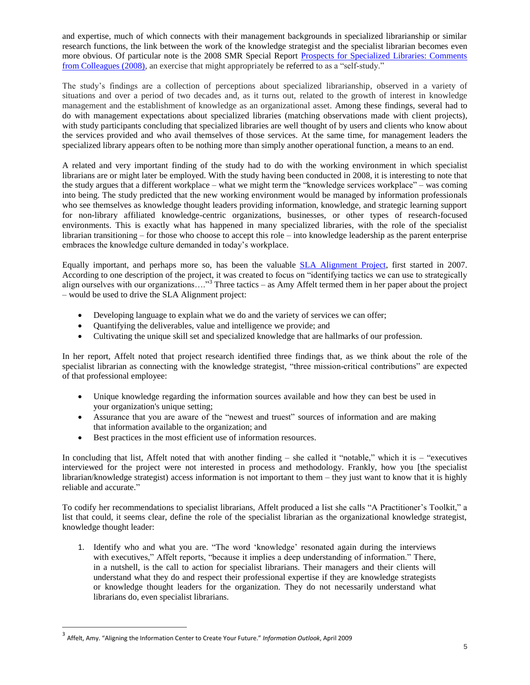and expertise, much of which connects with their management backgrounds in specialized librarianship or similar research functions, the link between the work of the knowledge strategist and the specialist librarian becomes even more obvious. Of particular note is the 2008 SMR Special Report [Prospects for Specialized Libraries: Comments](http://smr-knowledge.com/wp-content/uploads/2010/05/2008-10-26-SMR-Special-Rept-Future-Spec-Libr.pdf)  [from Colleagues \(2008\),](http://smr-knowledge.com/wp-content/uploads/2010/05/2008-10-26-SMR-Special-Rept-Future-Spec-Libr.pdf) an exercise that might appropriately be referred to as a "self-study."

The study's findings are a collection of perceptions about specialized librarianship, observed in a variety of situations and over a period of two decades and, as it turns out, related to the growth of interest in knowledge management and the establishment of knowledge as an organizational asset. Among these findings, several had to do with management expectations about specialized libraries (matching observations made with client projects), with study participants concluding that specialized libraries are well thought of by users and clients who know about the services provided and who avail themselves of those services. At the same time, for management leaders the specialized library appears often to be nothing more than simply another operational function, a means to an end.

A related and very important finding of the study had to do with the working environment in which specialist librarians are or might later be employed. With the study having been conducted in 2008, it is interesting to note that the study argues that a different workplace – what we might term the "knowledge services workplace" – was coming into being. The study predicted that the new working environment would be managed by information professionals who see themselves as knowledge thought leaders providing information, knowledge, and strategic learning support for non-library affiliated knowledge-centric organizations, businesses, or other types of research-focused environments. This is exactly what has happened in many specialized libraries, with the role of the specialist librarian transitioning – for those who choose to accept this role – into knowledge leadership as the parent enterprise embraces the knowledge culture demanded in today's workplace.

Equally important, and perhaps more so, has been the valuable [SLA Alignment Project,](http://www.sla.org/content/SLA/governance/namechange/timeline.cfm) first started in 2007. According to one description of the project, it was created to focus on "identifying tactics we can use to strategically align ourselves with our organizations…."<sup>3</sup> Three tactics – as Amy Affelt termed them in her paper about the project – would be used to drive the SLA Alignment project:

- Developing language to explain what we do and the variety of services we can offer;
- Quantifying the deliverables, value and intelligence we provide; and
- Cultivating the unique skill set and specialized knowledge that are hallmarks of our profession.

In her report, Affelt noted that project research identified three findings that, as we think about the role of the specialist librarian as connecting with the knowledge strategist, "three mission-critical contributions" are expected of that professional employee:

- Unique knowledge regarding the information sources available and how they can best be used in your organization's unique setting;
- Assurance that you are aware of the "newest and truest" sources of information and are making that information available to the organization; and
- Best practices in the most efficient use of information resources.

In concluding that list, Affelt noted that with another finding  $-$  she called it "notable," which it is  $-$  "executives interviewed for the project were not interested in process and methodology. Frankly, how you [the specialist librarian/knowledge strategist) access information is not important to them – they just want to know that it is highly reliable and accurate."

To codify her recommendations to specialist librarians, Affelt produced a list she calls "A Practitioner's Toolkit," a list that could, it seems clear, define the role of the specialist librarian as the organizational knowledge strategist, knowledge thought leader:

1. Identify who and what you are. "The word 'knowledge' resonated again during the interviews with executives," Affelt reports, "because it implies a deep understanding of information." There, in a nutshell, is the call to action for specialist librarians. Their managers and their clients will understand what they do and respect their professional expertise if they are knowledge strategists or knowledge thought leaders for the organization. They do not necessarily understand what librarians do, even specialist librarians.

<sup>3</sup> Affelt, Amy. "Aligning the Information Center to Create Your Future." *Information Outlook*, April 2009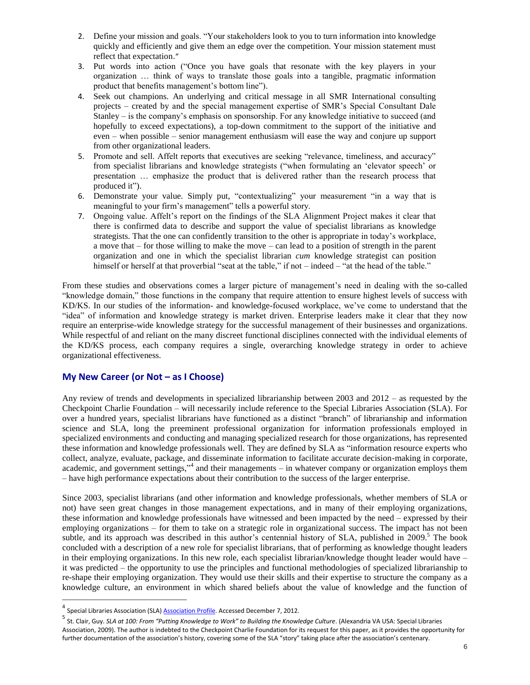- 2. Define your mission and goals. "Your stakeholders look to you to turn information into knowledge quickly and efficiently and give them an edge over the competition. Your mission statement must reflect that expectation."
- 3. Put words into action ("Once you have goals that resonate with the key players in your organization … think of ways to translate those goals into a tangible, pragmatic information product that benefits management's bottom line").
- 4. Seek out champions. An underlying and critical message in all SMR International consulting projects – created by and the special management expertise of SMR's Special Consultant Dale Stanley – is the company's emphasis on sponsorship. For any knowledge initiative to succeed (and hopefully to exceed expectations), a top-down commitment to the support of the initiative and even – when possible – senior management enthusiasm will ease the way and conjure up support from other organizational leaders.
- 5. Promote and sell. Affelt reports that executives are seeking "relevance, timeliness, and accuracy" from specialist librarians and knowledge strategists ("when formulating an 'elevator speech' or presentation … emphasize the product that is delivered rather than the research process that produced it").
- 6. Demonstrate your value. Simply put, "contextualizing" your measurement "in a way that is meaningful to your firm's management" tells a powerful story.
- 7. Ongoing value. Affelt's report on the findings of the SLA Alignment Project makes it clear that there is confirmed data to describe and support the value of specialist librarians as knowledge strategists. That the one can confidently transition to the other is appropriate in today's workplace, a move that – for those willing to make the move – can lead to a position of strength in the parent organization and one in which the specialist librarian *cum* knowledge strategist can position himself or herself at that proverbial "seat at the table," if not – indeed – "at the head of the table."

From these studies and observations comes a larger picture of management's need in dealing with the so-called "knowledge domain," those functions in the company that require attention to ensure highest levels of success with KD/KS. In our studies of the information- and knowledge-focused workplace, we've come to understand that the "idea" of information and knowledge strategy is market driven. Enterprise leaders make it clear that they now require an enterprise-wide knowledge strategy for the successful management of their businesses and organizations. While respectful of and reliant on the many discreet functional disciplines connected with the individual elements of the KD/KS process, each company requires a single, overarching knowledge strategy in order to achieve organizational effectiveness.

### **My New Career (or Not – as I Choose)**

Any review of trends and developments in specialized librarianship between 2003 and 2012 – as requested by the Checkpoint Charlie Foundation – will necessarily include reference to the Special Libraries Association (SLA). For over a hundred years, specialist librarians have functioned as a distinct "branch" of librarianship and information science and SLA, long the preeminent professional organization for information professionals employed in specialized environments and conducting and managing specialized research for those organizations, has represented these information and knowledge professionals well. They are defined by SLA as "information resource experts who collect, analyze, evaluate, package, and disseminate information to facilitate accurate decision-making in corporate, academic, and government settings,"<sup>4</sup> and their managements – in whatever company or organization employs them – have high performance expectations about their contribution to the success of the larger enterprise.

Since 2003, specialist librarians (and other information and knowledge professionals, whether members of SLA or not) have seen great changes in those management expectations, and in many of their employing organizations, these information and knowledge professionals have witnessed and been impacted by the need – expressed by their employing organizations – for them to take on a strategic role in organizational success. The impact has not been subtle, and its approach was described in this author's centennial history of SLA, published in 2009.<sup>5</sup> The book concluded with a description of a new role for specialist librarians, that of performing as knowledge thought leaders in their employing organizations. In this new role, each specialist librarian/knowledge thought leader would have – it was predicted – the opportunity to use the principles and functional methodologies of specialized librarianship to re-shape their employing organization. They would use their skills and their expertise to structure the company as a knowledge culture, an environment in which shared beliefs about the value of knowledge and the function of

<sup>&</sup>lt;sup>4</sup> Special Libraries Association (SLA) <u>Association Profile</u>. Accessed December 7, 2012.

<sup>&</sup>lt;sup>5</sup> St. Clair, Guy. *SLA at 100: From "Putting Knowledge to Work" to Building the Knowledge Culture*. (Alexandria VA USA: Special Libraries Association, 2009). The author is indebted to the Checkpoint Charlie Foundation for its request for this paper, as it provides the opportunity for further documentation of the association's history, covering some of the SLA "story" taking place after the association's centenary.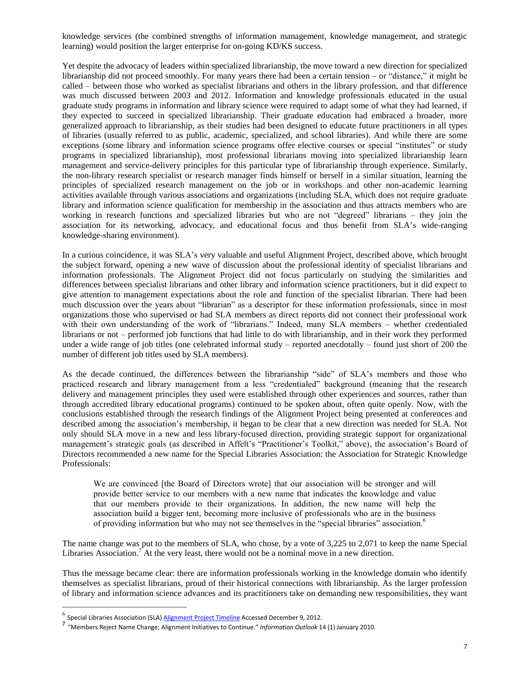knowledge services (the combined strengths of information management, knowledge management, and strategic learning) would position the larger enterprise for on-going KD/KS success.

Yet despite the advocacy of leaders within specialized librarianship, the move toward a new direction for specialized librarianship did not proceed smoothly. For many years there had been a certain tension – or "distance," it might be called – between those who worked as specialist librarians and others in the library profession, and that difference was much discussed between 2003 and 2012. Information and knowledge professionals educated in the usual graduate study programs in information and library science were required to adapt some of what they had learned, if they expected to succeed in specialized librarianship. Their graduate education had embraced a broader, more generalized approach to librarianship, as their studies had been designed to educate future practitioners in all types of libraries (usually referred to as public, academic, specialized, and school libraries). And while there are some exceptions (some library and information science programs offer elective courses or special "institutes" or study programs in specialized librarianship), most professional librarians moving into specialized librarianship learn management and service-delivery principles for this particular type of librarianship through experience. Similarly, the non-library research specialist or research manager finds himself or herself in a similar situation, learning the principles of specialized research management on the job or in workshops and other non-academic learning activities available through various associations and organizations (including SLA, which does not require graduate library and information science qualification for membership in the association and thus attracts members who are working in research functions and specialized libraries but who are not "degreed" librarians – they join the association for its networking, advocacy, and educational focus and thus benefit from SLA's wide-ranging knowledge-sharing environment).

In a curious coincidence, it was SLA's very valuable and useful Alignment Project, described above, which brought the subject forward, opening a new wave of discussion about the professional identity of specialist librarians and information professionals. The Alignment Project did not focus particularly on studying the similarities and differences between specialist librarians and other library and information science practitioners, but it did expect to give attention to management expectations about the role and function of the specialist librarian. There had been much discussion over the years about "librarian" as a descriptor for these information professionals, since in most organizations those who supervised or had SLA members as direct reports did not connect their professional work with their own understanding of the work of "librarians." Indeed, many SLA members – whether credentialed librarians or not – performed job functions that had little to do with librarianship, and in their work they performed under a wide range of job titles (one celebrated informal study – reported anecdotally – found just short of 200 the number of different job titles used by SLA members).

As the decade continued, the differences between the librarianship "side" of SLA's members and those who practiced research and library management from a less "credentialed" background (meaning that the research delivery and management principles they used were established through other experiences and sources, rather than through accredited library educational programs) continued to be spoken about, often quite openly. Now, with the conclusions established through the research findings of the Alignment Project being presented at conferences and described among the association's membership, it began to be clear that a new direction was needed for SLA. Not only should SLA move in a new and less library-focused direction, providing strategic support for organizational management's strategic goals (as described in Affelt's "Practitioner's Toolkit," above), the association's Board of Directors recommended a new name for the Special Libraries Association: the Association for Strategic Knowledge Professionals:

We are convinced [the Board of Directors wrote] that our association will be stronger and will provide better service to our members with a new name that indicates the knowledge and value that our members provide to their organizations. In addition, the new name will help the association build a bigger tent, becoming more inclusive of professionals who are in the business of providing information but who may not see themselves in the "special libraries" association.<sup>6</sup>

The name change was put to the members of SLA, who chose, by a vote of 3,225 to 2,071 to keep the name Special Libraries Association.<sup>7</sup> At the very least, there would not be a nominal move in a new direction.

Thus the message became clear: there are information professionals working in the knowledge domain who identify themselves as specialist librarians, proud of their historical connections with librarianship. As the larger profession of library and information science advances and its practitioners take on demanding new responsibilities, they want

 6 Special Libraries Association (SLA[\) Alignment Project Timeline](http://www.sla.org/content/SLA/governance/namechange/timeline.cfm) Accessed December 9, 2012. 7 "Members Reject Name Change; Alignment Initiatives to Continue." *Information Outlook* 14 (1) January 2010.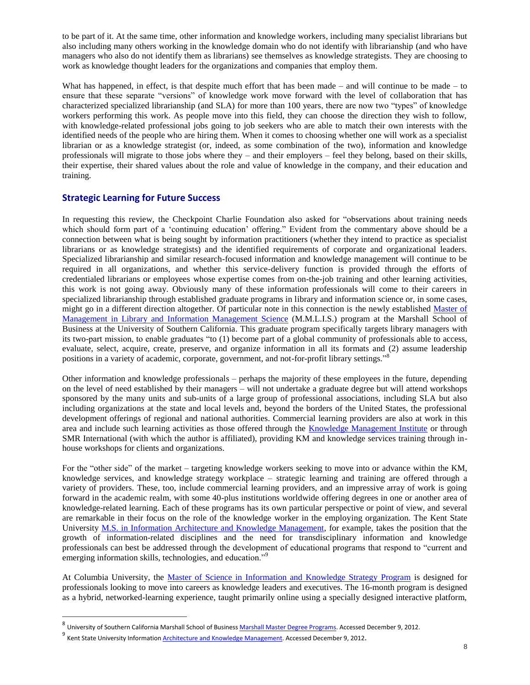to be part of it. At the same time, other information and knowledge workers, including many specialist librarians but also including many others working in the knowledge domain who do not identify with librarianship (and who have managers who also do not identify them as librarians) see themselves as knowledge strategists. They are choosing to work as knowledge thought leaders for the organizations and companies that employ them.

What has happened, in effect, is that despite much effort that has been made – and will continue to be made – to ensure that these separate "versions" of knowledge work move forward with the level of collaboration that has characterized specialized librarianship (and SLA) for more than 100 years, there are now two "types" of knowledge workers performing this work. As people move into this field, they can choose the direction they wish to follow, with knowledge-related professional jobs going to job seekers who are able to match their own interests with the identified needs of the people who are hiring them. When it comes to choosing whether one will work as a specialist librarian or as a knowledge strategist (or, indeed, as some combination of the two), information and knowledge professionals will migrate to those jobs where they – and their employers – feel they belong, based on their skills, their expertise, their shared values about the role and value of knowledge in the company, and their education and training.

### **Strategic Learning for Future Success**

In requesting this review, the Checkpoint Charlie Foundation also asked for "observations about training needs which should form part of a 'continuing education' offering." Evident from the commentary above should be a connection between what is being sought by information practitioners (whether they intend to practice as specialist librarians or as knowledge strategists) and the identified requirements of corporate and organizational leaders. Specialized librarianship and similar research-focused information and knowledge management will continue to be required in all organizations, and whether this service-delivery function is provided through the efforts of credentialed librarians or employees whose expertise comes from on-the-job training and other learning activities, this work is not going away. Obviously many of these information professionals will come to their careers in specialized librarianship through established graduate programs in library and information science or, in some cases, might go in a different direction altogether. Of particular note in this connection is the newly established [Master of](http://www.marshall.usc.edu/masters)  [Management in Library and Information Management Science](http://www.marshall.usc.edu/masters) (M.M.L.I.S.) program at the Marshall School of Business at the University of Southern California. This graduate program specifically targets library managers with its two-part mission, to enable graduates "to (1) become part of a global community of professionals able to access, evaluate, select, acquire, create, preserve, and organize information in all its formats and (2) assume leadership positions in a variety of academic, corporate, government, and not-for-profit library settings."<sup>8</sup>

Other information and knowledge professionals – perhaps the majority of these employees in the future, depending on the level of need established by their managers – will not undertake a graduate degree but will attend workshops sponsored by the many units and sub-units of a large group of professional associations, including SLA but also including organizations at the state and local levels and, beyond the borders of the United States, the professional development offerings of regional and national authorities. Commercial learning providers are also at work in this area and include such learning activities as those offered through the [Knowledge Management Institute](http://www.kminstitute.org/) or through SMR International (with which the author is affiliated), providing KM and knowledge services training through inhouse workshops for clients and organizations.

For the "other side" of the market – targeting knowledge workers seeking to move into or advance within the KM, knowledge services, and knowledge strategy workplace – strategic learning and training are offered through a variety of providers. These, too, include commercial learning providers, and an impressive array of work is going forward in the academic realm, with some 40-plus institutions worldwide offering degrees in one or another area of knowledge-related learning. Each of these programs has its own particular perspective or point of view, and several are remarkable in their focus on the role of the knowledge worker in the employing organization. The Kent State University [M.S. in Information Architecture and Knowledge Management,](http://iakm.kent.edu/index.php?option=com_content&view=section&layout=blog&id=6&Itemid=53) for example, takes the position that the growth of information-related disciplines and the need for transdisciplinary information and knowledge professionals can best be addressed through the development of educational programs that respond to "current and emerging information skills, technologies, and education."<sup>9</sup>

At Columbia University, the [Master of Science in Information and Knowledge Strategy Program](http://ce.columbia.edu/information-and-knowledge-strategy) is designed for professionals looking to move into careers as knowledge leaders and executives. The 16-month program is designed as a hybrid, networked-learning experience, taught primarily online using a specially designed interactive platform,

<sup>&</sup>lt;sup>8</sup> University of Southern California Marshall School of Business <u>Marshall Master Degree Programs</u>. Accessed December 9, 2012.

<sup>&</sup>lt;sup>9</sup> Kent State University Information <u>Architecture and Knowledge Management</u>. Accessed December 9, 2012.